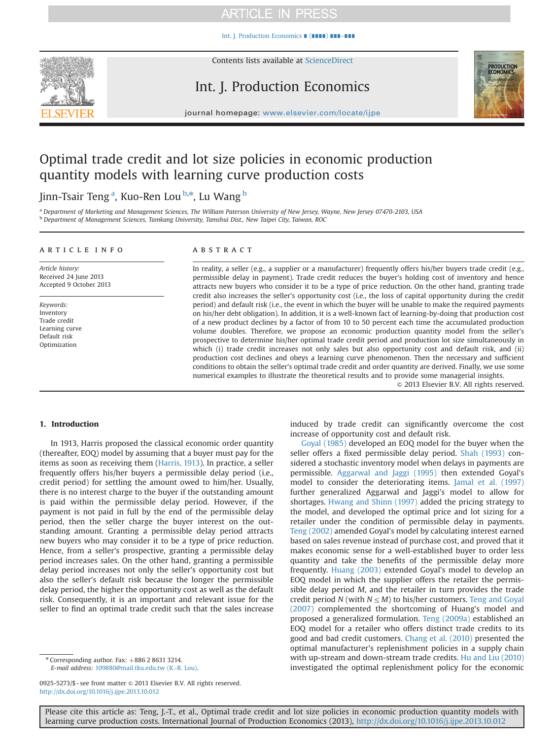### **ARTICLE IN PRESS**

[Int. J. Production Economics](http://dx.doi.org/10.1016/j.ijpe.2013.10.012) ∎ (∎∎∎∎) ∎∎∎–∎∎∎



Contents lists available at [ScienceDirect](www.sciencedirect.com/science/journal/09255273)

### Int. J. Production Economics



journal homepage: <www.elsevier.com/locate/ijpe>

## Optimal trade credit and lot size policies in economic production quantity models with learning curve production costs

### Jinn-Tsair Teng<sup>a</sup>, Kuo-Ren Lou<sup>b,</sup>\*, Lu Wang<sup>b</sup>

<sup>a</sup> Department of Marketing and Management Sciences, The William Paterson University of New Jersey, Wayne, New Jersey 07470-2103, USA <sup>b</sup> Department of Management Sciences, Tamkang University, Tamshui Dist., New Taipei City, Taiwan, ROC

#### article info

Article history: Received 24 June 2013 Accepted 9 October 2013

Keywords: Inventory Trade credit Learning curve Default risk Optimization

#### **ABSTRACT**

In reality, a seller (e.g., a supplier or a manufacturer) frequently offers his/her buyers trade credit (e.g., permissible delay in payment). Trade credit reduces the buyer's holding cost of inventory and hence attracts new buyers who consider it to be a type of price reduction. On the other hand, granting trade credit also increases the seller's opportunity cost (i.e., the loss of capital opportunity during the credit period) and default risk (i.e., the event in which the buyer will be unable to make the required payments on his/her debt obligation). In addition, it is a well-known fact of learning-by-doing that production cost of a new product declines by a factor of from 10 to 50 percent each time the accumulated production volume doubles. Therefore, we propose an economic production quantity model from the seller's prospective to determine his/her optimal trade credit period and production lot size simultaneously in which (i) trade credit increases not only sales but also opportunity cost and default risk, and (ii) production cost declines and obeys a learning curve phenomenon. Then the necessary and sufficient conditions to obtain the seller's optimal trade credit and order quantity are derived. Finally, we use some numerical examples to illustrate the theoretical results and to provide some managerial insights.

 $\odot$  2013 Elsevier B.V. All rights reserved.

#### 1. Introduction

In 1913, Harris proposed the classical economic order quantity (thereafter, EOQ) model by assuming that a buyer must pay for the items as soon as receiving them ([Harris, 1913\)](#page--1-0). In practice, a seller frequently offers his/her buyers a permissible delay period (i.e., credit period) for settling the amount owed to him/her. Usually, there is no interest charge to the buyer if the outstanding amount is paid within the permissible delay period. However, if the payment is not paid in full by the end of the permissible delay period, then the seller charge the buyer interest on the outstanding amount. Granting a permissible delay period attracts new buyers who may consider it to be a type of price reduction. Hence, from a seller's prospective, granting a permissible delay period increases sales. On the other hand, granting a permissible delay period increases not only the seller's opportunity cost but also the seller's default risk because the longer the permissible delay period, the higher the opportunity cost as well as the default risk. Consequently, it is an important and relevant issue for the seller to find an optimal trade credit such that the sales increase

induced by trade credit can significantly overcome the cost increase of opportunity cost and default risk.

[Goyal \(1985\)](#page--1-0) developed an EOQ model for the buyer when the seller offers a fixed permissible delay period. [Shah \(1993\)](#page--1-0) considered a stochastic inventory model when delays in payments are permissible. [Aggarwal and Jaggi \(1995\)](#page--1-0) then extended Goyal's model to consider the deteriorating items. [Jamal et al. \(1997\)](#page--1-0) further generalized Aggarwal and Jaggi's model to allow for shortages. [Hwang and Shinn \(1997\)](#page--1-0) added the pricing strategy to the model, and developed the optimal price and lot sizing for a retailer under the condition of permissible delay in payments. [Teng \(2002\)](#page--1-0) amended Goyal's model by calculating interest earned based on sales revenue instead of purchase cost, and proved that it makes economic sense for a well-established buyer to order less quantity and take the benefits of the permissible delay more frequently. [Huang \(2003\)](#page--1-0) extended Goyal's model to develop an EOQ model in which the supplier offers the retailer the permissible delay period M, and the retailer in turn provides the trade credit period N (with  $N \leq M$ ) to his/her customers. [Teng and Goyal](#page--1-0) [\(2007\)](#page--1-0) complemented the shortcoming of Huang's model and proposed a generalized formulation. [Teng \(2009a\)](#page--1-0) established an EOQ model for a retailer who offers distinct trade credits to its good and bad credit customers. [Chang et al. \(2010\)](#page--1-0) presented the optimal manufacturer's replenishment policies in a supply chain with up-stream and down-stream trade credits. [Hu and Liu \(2010\)](#page--1-0) investigated the optimal replenishment policy for the economic

Please cite this article as: Teng, J.-T., et al., Optimal trade credit and lot size policies in economic production quantity models with learning curve production costs. International Journal of Production Economics (2013), http://dx.doi.org/10.1016/j.ijpe.2013.10.012

 $*$  Corresponding author. Fax:  $+886286313214$ . E-mail address: [109880@mail.tku.edu.tw \(K.-R. Lou\)](mailto:109880@mail.tku.edu.tw).

<sup>0925-5273/\$ -</sup> see front matter @ 2013 Elsevier B.V. All rights reserved. <http://dx.doi.org/10.1016/j.ijpe.2013.10.012>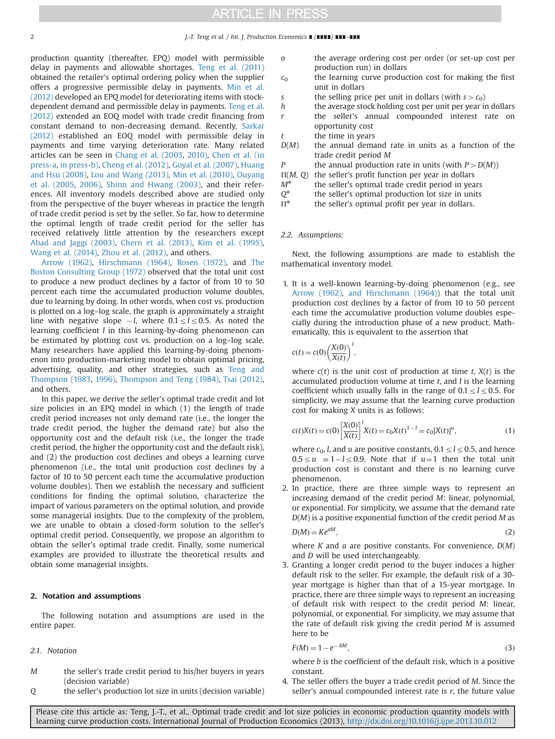production quantity (thereafter, EPQ) model with permissible delay in payments and allowable shortages. [Teng et al. \(2011\)](#page--1-0) obtained the retailer's optimal ordering policy when the supplier offers a progressive permissible delay in payments. [Min et al.](#page--1-0) [\(2012\)](#page--1-0) developed an EPQ model for deteriorating items with stockdependent demand and permissible delay in payments. [Teng et al.](#page--1-0) [\(2012\)](#page--1-0) extended an EOQ model with trade credit financing from constant demand to non-decreasing demand. Recently, [Sarkar](#page--1-0) [\(2012\)](#page--1-0) established an EOQ model with permissible delay in payments and time varying deterioration rate. Many related articles can be seen in [Chang et al. \(2003,](#page--1-0) [2010\)](#page--1-0), [Chen et al. \(in](#page--1-0) [press-a,](#page--1-0) [in press-b\),](#page--1-0) [Cheng et al. \(2012\),](#page--1-0) [Goyal et al. \(2007\),](#page--1-0) [Huang](#page--1-0) [and Hsu \(2008\)](#page--1-0), [Lou and Wang \(2013\),](#page--1-0) [Min et al. \(2010\),](#page--1-0) [Ouyang](#page--1-0) [et al. \(2005,](#page--1-0) [2006\)](#page--1-0), [Shinn and Hwang \(2003\),](#page--1-0) and their references. All inventory models described above are studied only from the perspective of the buyer whereas in practice the length of trade credit period is set by the seller. So far, how to determine the optimal length of trade credit period for the seller has received relatively little attention by the researchers except [Abad and Jaggi \(2003\),](#page--1-0) [Chern et al. \(2013\)](#page--1-0), [Kim et al. \(1995\),](#page--1-0) [Wang et al. \(2014\)](#page--1-0), [Zhou et al. \(2012\)](#page--1-0), and others.

[Arrow \(1962\),](#page--1-0) [Hirschmann \(1964\),](#page--1-0) [Rosen \(1972\),](#page--1-0) and [The](#page--1-0) [Boston Consulting Group \(1972\)](#page--1-0) observed that the total unit cost to produce a new product declines by a factor of from 10 to 50 percent each time the accumulated production volume doubles, due to learning by doing. In other words, when cost vs. production is plotted on a log–log scale, the graph is approximately a straight line with negative slope  $-l$ , where  $0.1 \le l \le 0.5$ . As noted the learning coefficient *l* in this learning-by-doing phenomenon can be estimated by plotting cost vs. production on a log–log scale. Many researchers have applied this learning-by-doing phenomenon into production-marketing model to obtain optimal pricing, advertising, quality, and other strategies, such as [Teng and](#page--1-0) [Thompson \(1983](#page--1-0), [1996\),](#page--1-0) [Thompson and Teng \(1984\),](#page--1-0) [Tsai \(2012\),](#page--1-0) and others.

In this paper, we derive the seller's optimal trade credit and lot size policies in an EPQ model in which (1) the length of trade credit period increases not only demand rate (i.e., the longer the trade credit period, the higher the demand rate) but also the opportunity cost and the default risk (i.e., the longer the trade credit period, the higher the opportunity cost and the default risk), and (2) the production cost declines and obeys a learning curve phenomenon (i.e., the total unit production cost declines by a factor of 10 to 50 percent each time the accumulative production volume doubles). Then we establish the necessary and sufficient conditions for finding the optimal solution, characterize the impact of various parameters on the optimal solution, and provide some managerial insights. Due to the complexity of the problem, we are unable to obtain a closed-form solution to the seller's optimal credit period. Consequently, we propose an algorithm to obtain the seller's optimal trade credit. Finally, some numerical examples are provided to illustrate the theoretical results and obtain some managerial insights.

#### 2. Notation and assumptions

The following notation and assumptions are used in the entire paper.

#### 2.1. Notation

- M the seller's trade credit period to his/her buyers in years (decision variable)
- Q the seller's production lot size in units (decision variable)
- o the average ordering cost per order (or set-up cost per production run) in dollars
- $c_0$  the learning curve production cost for making the first unit in dollars
- s the selling price per unit in dollars (with  $s > c_0$ )
- $h$  the average stock holding cost per unit per year in dollars r the seller's annual compounded interest rate on opportunity cost
- $t$  the time in years
- $D(M)$  the annual demand rate in units as a function of the trade credit period M
- P the annual production rate in units (with  $P > D(M)$ )
- $\Pi(M, 0)$  the seller's profit function per year in dollars
- $M^*$  the seller's optimal trade credit period in years
- $Q^*$  the seller's optimal production lot size in units
- $\Pi^*$  the seller's optimal profit per year in dollars.

#### 2.2. Assumptions:

Next, the following assumptions are made to establish the mathematical inventory model.

1. It is a well-known learning-by-doing phenomenon (e.g., see [Arrow \(1962\)](#page--1-0), [and Hirschmann \(1964\)](#page--1-0)) that the total unit production cost declines by a factor of from 10 to 50 percent each time the accumulative production volume doubles especially during the introduction phase of a new product. Mathematically, this is equivalent to the assertion that

$$
c(t) = c(0) \left(\frac{X(0)}{X(t)}\right)^l,
$$

where  $c(t)$  is the unit cost of production at time t,  $X(t)$  is the accumulated production volume at time  $t$ , and  $l$  is the learning coefficient which usually falls in the range of  $0.1 \le l \le 0.5$ . For simplicity, we may assume that the learning curve production cost for making X units is as follows:

$$
c(t)X(t) = c(0)\left[\frac{X(0)}{X(t)}\right]^t X(t) = c_0 X(t)^{1-l} = c_0 [X(t)]^u,
$$
\n(1)

where  $c_0$ , *l*, and *u* are positive constants,  $0.1 \le l \le 0.5$ , and hence  $0.5 \le u \equiv 1-l \le 0.9$ . Note that if  $u=1$  then the total unit production cost is constant and there is no learning curve phenomenon.

2. In practice, there are three simple ways to represent an increasing demand of the credit period M: linear, polynomial, or exponential. For simplicity, we assume that the demand rate  $D(M)$  is a positive exponential function of the credit period  $M$  as

$$
D(M) = Ke^{aM},\tag{2}
$$

where K and  $\alpha$  are positive constants. For convenience,  $D(M)$ and D will be used interchangeably.

3. Granting a longer credit period to the buyer induces a higher default risk to the seller. For example, the default risk of a 30 year mortgage is higher than that of a 15-year mortgage. In practice, there are three simple ways to represent an increasing of default risk with respect to the credit period M: linear, polynomial, or exponential. For simplicity, we may assume that the rate of default risk giving the credit period M is assumed here to be

$$
F(M) = 1 - e^{-bM},\tag{3}
$$

where *b* is the coefficient of the default risk, which is a positive constant.

4. The seller offers the buyer a trade credit period of M. Since the seller's annual compounded interest rate is  $r$ , the future value

Please cite this article as: Teng, J.-T., et al., Optimal trade credit and lot size policies in economic production quantity models with learning curve production costs. International Journal of Production Economics (2013), http://dx.doi.org/10.1016/j.ijpe.2013.10.012